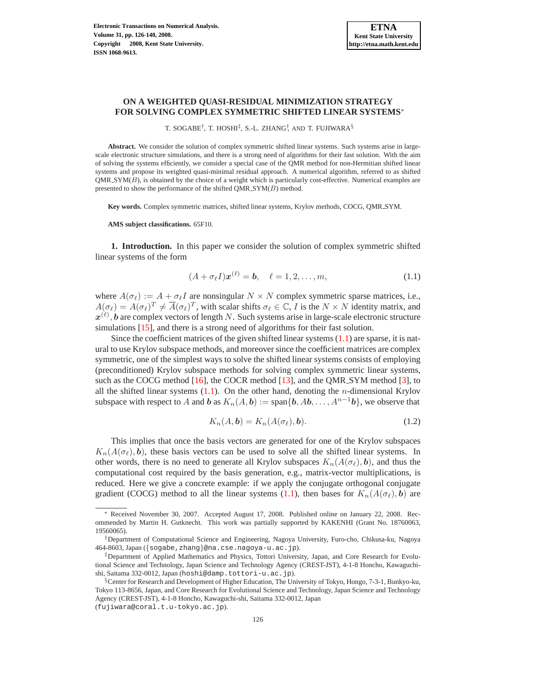# **ON A WEIGHTED QUASI-RESIDUAL MINIMIZATION STRATEGY FOR SOLVING COMPLEX SYMMETRIC SHIFTED LINEAR SYSTEMS**<sup>∗</sup>

T. SOGABE<sup>†</sup>, T. HOSHI<sup>‡</sup>, S.-L. ZHANG<sup>†</sup>, AND T. FUJIWARA<sup>§</sup>

**Abstract.** We consider the solution of complex symmetric shifted linear systems. Such systems arise in largescale electronic structure simulations, and there is a strong need of algorithms for their fast solution. With the aim of solving the systems efficiently, we consider a special case of the QMR method for non-Hermitian shifted linear systems and propose its weighted quasi-minimal residual approach. A numerical algorithm, referred to as shifted  $QMR\_SYM(B)$ , is obtained by the choice of a weight which is particularly cost-effective. Numerical examples are presented to show the performance of the shifted  $QMR\_SYM(B)$  method.

**Key words.** Complex symmetric matrices, shifted linear systems, Krylov methods, COCG, QMR SYM.

**AMS subject classifications.** 65F10.

**1. Introduction.** In this paper we consider the solution of complex symmetric shifted linear systems of the form

$$
(A + \sigma_{\ell} I)\boldsymbol{x}^{(\ell)} = \boldsymbol{b}, \quad \ell = 1, 2, \dots, m,
$$
\n(1.1)

<span id="page-0-0"></span>where  $A(\sigma_{\ell}) := A + \sigma_{\ell}I$  are nonsingular  $N \times N$  complex symmetric sparse matrices, i.e.,  $A(\sigma_\ell) = A(\sigma_\ell)^T \neq \overline{A}(\sigma_\ell)^T$ , with scalar shifts  $\sigma_\ell \in \mathbb{C}$ , *I* is the  $N \times N$  identity matrix, and  $\bm{x}^{(\ell)}, \bm{b}$  are complex vectors of length  $N.$  Such systems arise in large-scale electronic structure simulations [\[15\]](#page-14-0), and there is a strong need of algorithms for their fast solution.

Since the coefficient matrices of the given shifted linear systems  $(1.1)$  are sparse, it is natural to use Krylov subspace methods, and moreover since the coefficient matrices are complex symmetric, one of the simplest ways to solve the shifted linear systems consists of employing (preconditioned) Krylov subspace methods for solving complex symmetric linear systems, such as the COCG method  $[16]$ , the COCR method  $[13]$ , and the QMR SYM method  $[3]$ , to all the shifted linear systems  $(1.1)$ . On the other hand, denoting the *n*-dimensional Krylov subspace with respect to A and b as  $K_n(A, b) := \text{span}\{b, Ab, \ldots, A^{n-1}b\}$ , we observe that

$$
K_n(A, b) = K_n(A(\sigma_\ell), b). \tag{1.2}
$$

<span id="page-0-1"></span>This implies that once the basis vectors are generated for one of the Krylov subspaces  $K_n(A(\sigma_\ell), b)$ , these basis vectors can be used to solve all the shifted linear systems. In other words, there is no need to generate all Krylov subspaces  $K_n(A(\sigma_{\ell}), b)$ , and thus the computational cost required by the basis generation, e.g., matrix-vector multiplications, is reduced. Here we give a concrete example: if we apply the conjugate orthogonal conjugate gradient (COCG) method to all the linear systems [\(1.1\)](#page-0-0), then bases for  $K_n(A(\sigma_\ell), b)$  are

<sup>∗</sup> Received November 30, 2007. Accepted August 17, 2008. Published online on January 22, 2008. Recommended by Martin H. Gutknecht. This work was partially supported by KAKENHI (Grant No. 18760063, 19560065).

<sup>†</sup>Department of Computational Science and Engineering, Nagoya University, Furo-cho, Chikusa-ku, Nagoya 464-8603, Japan ({sogabe,zhang}@na.cse.nagoya-u.ac.jp).

<sup>‡</sup>Department of Applied Mathematics and Physics, Tottori University, Japan, and Core Research for Evolutional Science and Technology, Japan Science and Technology Agency (CREST-JST), 4-1-8 Honcho, Kawaguchishi, Saitama 332-0012, Japan (hoshi@damp.tottori-u.ac.jp).

<sup>§</sup>Center for Research and Development of Higher Education, The University of Tokyo, Hongo, 7-3-1, Bunkyo-ku, Tokyo 113-8656, Japan, and Core Research for Evolutional Science and Technology, Japan Science and Technology Agency (CREST-JST), 4-1-8 Honcho, Kawaguchi-shi, Saitama 332-0012, Japan

<sup>(</sup>fujiwara@coral.t.u-tokyo.ac.jp).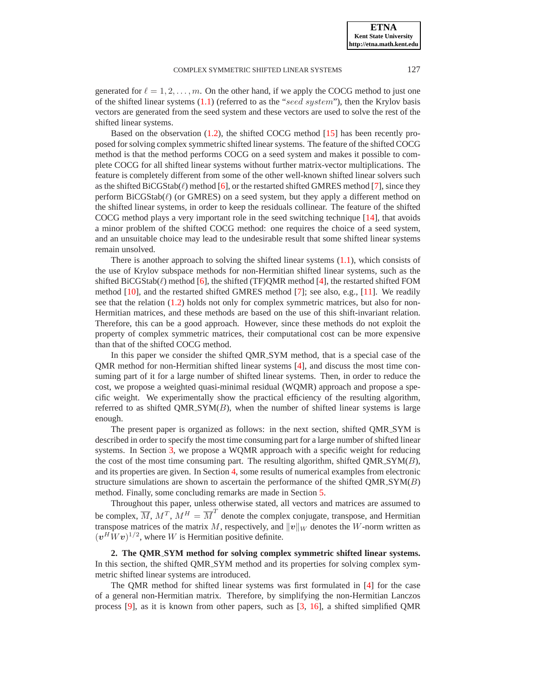generated for  $\ell = 1, 2, \ldots, m$ . On the other hand, if we apply the COCG method to just one of the shifted linear systems  $(1.1)$  (referred to as the "seed system"), then the Krylov basis vectors are generated from the seed system and these vectors are used to solve the rest of the shifted linear systems.

Based on the observation [\(1.2\)](#page-0-1), the shifted COCG method [\[15\]](#page-14-0) has been recently proposed for solving complex symmetric shifted linear systems. The feature of the shifted COCG method is that the method performs COCG on a seed system and makes it possible to complete COCG for all shifted linear systems without further matrix-vector multiplications. The feature is completely different from some of the other well-known shifted linear solvers such as the shifted  $BiCGStab(\ell)$  method [\[6\]](#page-13-1), or the restarted shifted GMRES method [\[7\]](#page-13-2), since they perform  $\text{BiCGStab}(\ell)$  (or GMRES) on a seed system, but they apply a different method on the shifted linear systems, in order to keep the residuals collinear. The feature of the shifted COCG method plays a very important role in the seed switching technique [\[14\]](#page-14-3), that avoids a minor problem of the shifted COCG method: one requires the choice of a seed system, and an unsuitable choice may lead to the undesirable result that some shifted linear systems remain unsolved.

There is another approach to solving the shifted linear systems [\(1.1\)](#page-0-0), which consists of the use of Krylov subspace methods for non-Hermitian shifted linear systems, such as the shifted BiCGStab( $\ell$ ) method [\[6\]](#page-13-1), the shifted (TF)QMR method [\[4\]](#page-13-3), the restarted shifted FOM method [\[10\]](#page-14-4), and the restarted shifted GMRES method [\[7\]](#page-13-2); see also, e.g., [\[11\]](#page-14-5). We readily see that the relation [\(1.2\)](#page-0-1) holds not only for complex symmetric matrices, but also for non-Hermitian matrices, and these methods are based on the use of this shift-invariant relation. Therefore, this can be a good approach. However, since these methods do not exploit the property of complex symmetric matrices, their computational cost can be more expensive than that of the shifted COCG method.

In this paper we consider the shifted QMR SYM method, that is a special case of the QMR method for non-Hermitian shifted linear systems [\[4\]](#page-13-3), and discuss the most time consuming part of it for a large number of shifted linear systems. Then, in order to reduce the cost, we propose a weighted quasi-minimal residual (WQMR) approach and propose a specific weight. We experimentally show the practical efficiency of the resulting algorithm, referred to as shifted  $QMR$ ,  $SYM(B)$ , when the number of shifted linear systems is large enough.

The present paper is organized as follows: in the next section, shifted QMR SYM is described in order to specify the most time consuming part for a large number of shifted linear systems. In Section [3,](#page-3-0) we propose a WQMR approach with a specific weight for reducing the cost of the most time consuming part. The resulting algorithm, shifted  $QMR$   $SYM(B)$ , and its properties are given. In Section [4,](#page-9-0) some results of numerical examples from electronic structure simulations are shown to ascertain the performance of the shifted  $QMR$   $SYM(B)$ method. Finally, some concluding remarks are made in Section [5.](#page-12-0)

Throughout this paper, unless otherwise stated, all vectors and matrices are assumed to be complex,  $\overline{M}$ ,  $M^T$ ,  $M^H = \overline{M}^T$  denote the complex conjugate, transpose, and Hermitian transpose matrices of the matrix M, respectively, and  $||v||_W$  denotes the W-norm written as  $(v^H W v)^{1/2}$ , where W is Hermitian positive definite.

**2. The QMR SYM method for solving complex symmetric shifted linear systems.** In this section, the shifted QMR SYM method and its properties for solving complex symmetric shifted linear systems are introduced.

The QMR method for shifted linear systems was first formulated in [\[4\]](#page-13-3) for the case of a general non-Hermitian matrix. Therefore, by simplifying the non-Hermitian Lanczos process [\[9\]](#page-14-6), as it is known from other papers, such as [\[3,](#page-13-0) [16\]](#page-14-1), a shifted simplified QMR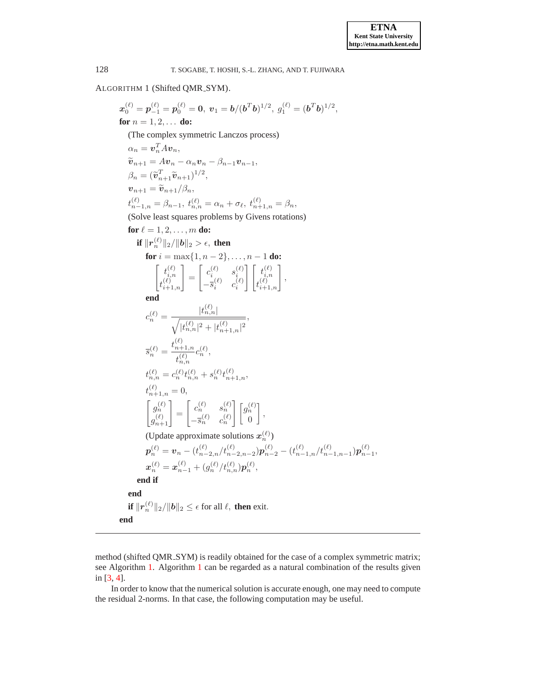<span id="page-2-0"></span>ALGORITHM 1 (Shifted QMR SYM).

 $\bm{x}^{(\ell)}_0=\bm{p}^{(\ell)}_{-1}=\bm{p}^{(\ell)}_0=\bm{0},\;\bm{v}_1=\bm{b}/(\bm{b}^T\bm{b})^{1/2},\;g^{(\ell)}_1=(\bm{b}^T\bm{b})^{1/2},$ **for**  $n = 1, 2, ...$ (The complex symmetric Lanczos process)  $\alpha_n = \boldsymbol{v}_n^T A \boldsymbol{v}_n,$  $\widetilde{\boldsymbol{v}}_{n+1} = A\boldsymbol{v}_n - \alpha_n \boldsymbol{v}_n - \beta_{n-1}\boldsymbol{v}_{n-1},$  $\beta_n = (\widetilde{\bm{v}}_{n+1}^T \widetilde{\bm{v}}_{n+1})^{1/2},$  $v_{n+1} = \widetilde{v}_{n+1}/\beta_n,$  $t_{n-1,n}^{(\ell)} = \beta_{n-1}, \ t_{n,n}^{(\ell)} = \alpha_n + \sigma_\ell, \ t_{n+1,n}^{(\ell)} = \beta_n,$ (Solve least squares problems by Givens rotations) **for**  $\ell = 1, 2, ..., m$  **do:**  $\textbf{if}\ \|r^{(\ell)}_n\|_2/\|\pmb{b}\|_2 > \epsilon, \textbf{ then}$ **for**  $i = \max\{1, n-2\}, \ldots, n-1$  **do:**  $\left[ \begin{array}{c} t^{(\ell)}_{i,n} \end{array} \right]$  $\left. \begin{smallmatrix} t_{i,n}^{(\ell)} \\ t_{i+1,n}^{(\ell)} \end{smallmatrix} \right]$ =  $\left[ \begin{array}{cc} c_i^{(\ell)} & s_i^{(\ell)} \end{array} \right]$  $-\overline{s}_i^{(\ell)}\quad c_i^{(\ell)}$  $\Big\} \Big[ t_{i,n}^{(\ell)}$  $\left[\begin{smallmatrix} t^{(\ell)}_i\\ t^{(\ell)}_{i,n}\\ t^{(\ell)}_{i+1,n} \end{smallmatrix}\right]$ , **end**  $c_n^{(\ell)} = \frac{|t_{n,n}^{(\ell)}|}{\sqrt{2\pi} \sqrt{n}}$  $\sqrt{|t_{n,n}^{(\ell)}|^2+|t_{n+1,n}^{(\ell)}|^2}$ ,  $\bar{s}_{n}^{(\ell)} = \frac{t_{n+1,n}^{(\ell)}}{t_{n+1,n}^{(\ell)}}$  $t_{n,n}^{(\ell)}$  $c_n^{(\ell)},$  $t_{n,n}^{(\ell)}=c_n^{(\ell)}t_{n,n}^{(\ell)}+s_n^{(\ell)}t_{n+1,n}^{(\ell)},$  $t_{n+1,n}^{(\ell)} = 0,$  $\int g_n^{(\ell)}$  $\left. \begin{array}{c} g_n^{(\ell)} \\ g_{n+1}^{(\ell)} \end{array} \right]$ =  $\begin{bmatrix} c_n^{(\ell)} & s_n^{(\ell)} \end{bmatrix}$  $-\overline{s}_n^{(\ell)}$   $c_n^{(\ell)}$  $\Big\lceil \int_{\mathcal{G}_n}^{(\ell)}$  $\theta$ 1 , (Update approximate solutions  $x_n^{(\ell)}$ )  $\bm{p}^{(\ell)}_n = \bm{v}_n - (t^{(\ell)}_{n-2,n}/t^{(\ell)}_{n-2,n-2})\bm{p}^{(\ell)}_{n-2} - (t^{(\ell)}_{n-1,n}/t^{(\ell)}_{n-1,n-1})\bm{p}^{(\ell)}_{n-1},$  $\bm{x}_n^{(\ell)} = \bm{x}_{n-1}^{(\ell)} + (g_n^{(\ell)}/t_{n,n}^{(\ell)})\bm{p}_n^{(\ell)},$ **end if end if**  $||\mathbf{r}_n^{(\ell)}||_2/||\mathbf{b}||_2 \leq \epsilon$  for all  $\ell$ , **then** exit. **end**

method (shifted QMR SYM) is readily obtained for the case of a complex symmetric matrix; see Algorithm [1.](#page-2-0) Algorithm [1](#page-2-0) can be regarded as a natural combination of the results given in [\[3,](#page-13-0) [4\]](#page-13-3).

In order to know that the numerical solution is accurate enough, one may need to compute the residual 2-norms. In that case, the following computation may be useful.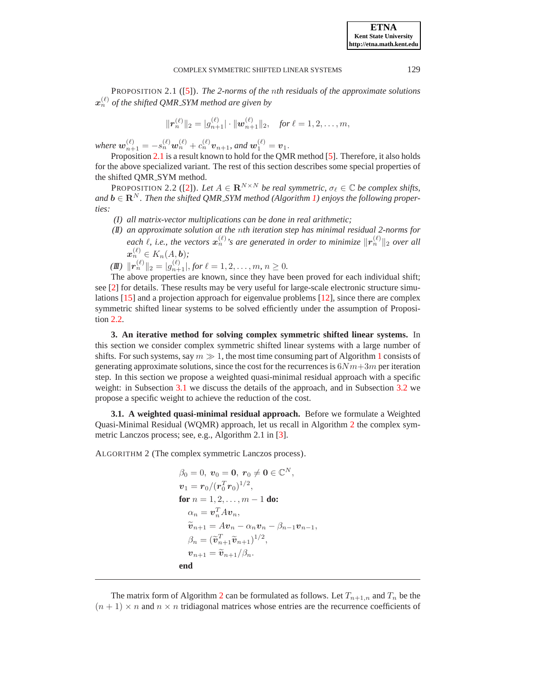<span id="page-3-1"></span>PROPOSITION 2.1 ([\[5\]](#page-13-4)). *The 2-norms of the* n*th residuals of the approximate solutions*  $\boldsymbol{x}_n^{(\ell)}$  of the shifted QMR\_SYM method are given by

$$
\|\boldsymbol{r}_n^{(\ell)}\|_2=|g_{n+1}^{(\ell)}|\cdot\|\boldsymbol{w}_{n+1}^{(\ell)}\|_2, \quad \textit{for } \ell=1,2,\ldots,m,
$$

where  $w_{n+1}^{(\ell)} = -s_n^{(\ell)}w_n^{(\ell)} + c_n^{(\ell)}v_{n+1}$ , and  $w_1^{(\ell)} = v_1$ .

Proposition [2.1](#page-3-1) is a result known to hold for the QMR method [\[5\]](#page-13-4). Therefore, it also holds for the above specialized variant. The rest of this section describes some special properties of the shifted QMR SYM method.

<span id="page-3-2"></span>PROPOSITION 2.2 ([\[2\]](#page-13-5)). *Let*  $A \in \mathbb{R}^{N \times N}$  *be real symmetric,*  $\sigma_{\ell} \in \mathbb{C}$  *be complex shifts,*  $and$  **b** ∈  $\mathbb{R}^N$ . Then the shifted QMR\_SYM method (Algorithm [1\)](#page-2-0) enjoys the following proper*ties:*

- *(I) all matrix-vector multiplications can be done in real arithmetic;*
- *(II) an approximate solution at the* n*th iteration step has minimal residual 2-norms for* each  $\ell$ , *i.e., the vectors*  $\mathbf{x}_n^{(\ell)}$ 's are generated in order to minimize  $\|\mathbf{r}_n^{(\ell)}\|_2$  over all  $\boldsymbol{x}_n^{(\ell)}\in K_n(A,\boldsymbol{b});$

 $(\mathbf{I}\mathbf{I}) \|\mathbf{r}_n^{(\ell)}\|_2 = |g_{n+1}^{(\ell)}|,$  *for*  $\ell = 1, 2, ..., m, n \geq 0$ *.* 

The above properties are known, since they have been proved for each individual shift; see [\[2\]](#page-13-5) for details. These results may be very useful for large-scale electronic structure simulations [\[15\]](#page-14-0) and a projection approach for eigenvalue problems [\[12\]](#page-14-7), since there are complex symmetric shifted linear systems to be solved efficiently under the assumption of Proposition [2.2.](#page-3-2)

<span id="page-3-0"></span>**3. An iterative method for solving complex symmetric shifted linear systems.** In this section we consider complex symmetric shifted linear systems with a large number of shifts. For such systems, say  $m \gg 1$  $m \gg 1$ , the most time consuming part of Algorithm 1 consists of generating approximate solutions, since the cost for the recurrences is  $6Nm+3m$  per iteration step. In this section we propose a weighted quasi-minimal residual approach with a specific weight: in Subsection [3.1](#page-3-3) we discuss the details of the approach, and in Subsection [3.2](#page-5-0) we propose a specific weight to achieve the reduction of the cost.

<span id="page-3-3"></span>**3.1. A weighted quasi-minimal residual approach.** Before we formulate a Weighted Quasi-Minimal Residual (WQMR) approach, let us recall in Algorithm [2](#page-3-4) the complex symmetric Lanczos process; see, e.g., Algorithm 2.1 in [\[3\]](#page-13-0).

<span id="page-3-4"></span>ALGORITHM 2 (The complex symmetric Lanczos process).

$$
\beta_0 = 0, \ \mathbf{v}_0 = \mathbf{0}, \ \mathbf{r}_0 \neq \mathbf{0} \in \mathbb{C}^N,
$$
  
\n
$$
\mathbf{v}_1 = \mathbf{r}_0 / (\mathbf{r}_0^T \mathbf{r}_0)^{1/2},
$$
  
\n**for**  $n = 1, 2, ..., m - 1$  **do:**  
\n
$$
\alpha_n = \mathbf{v}_n^T A \mathbf{v}_n,
$$
  
\n
$$
\widetilde{\mathbf{v}}_{n+1} = A \mathbf{v}_n - \alpha_n \mathbf{v}_n - \beta_{n-1} \mathbf{v}_{n-1},
$$
  
\n
$$
\beta_n = (\widetilde{\mathbf{v}}_{n+1}^T \widetilde{\mathbf{v}}_{n+1})^{1/2},
$$
  
\n
$$
\mathbf{v}_{n+1} = \widetilde{\mathbf{v}}_{n+1} / \beta_n.
$$
  
\n**end**

The matrix form of Algorithm [2](#page-3-4) can be formulated as follows. Let  $T_{n+1,n}$  and  $T_n$  be the  $(n + 1) \times n$  and  $n \times n$  tridiagonal matrices whose entries are the recurrence coefficients of

**ETNA Kent State University http://etna.math.kent.edu**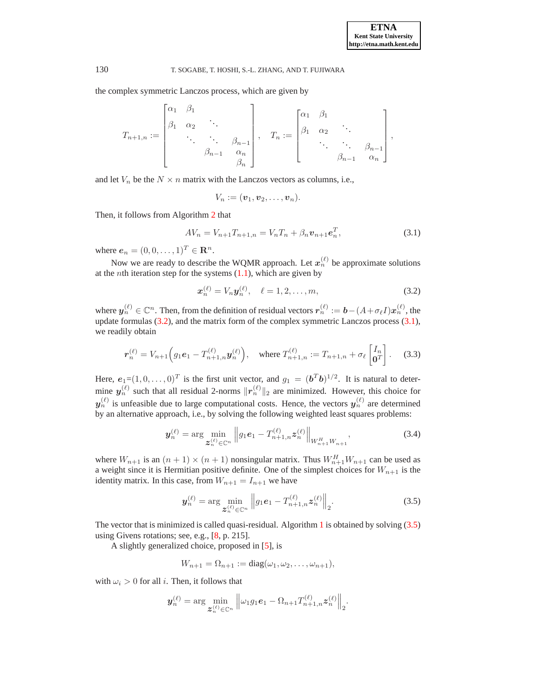the complex symmetric Lanczos process, which are given by

$$
T_{n+1,n} := \begin{bmatrix} \alpha_1 & \beta_1 & & \\ \beta_1 & \alpha_2 & \ddots & \\ & \ddots & \ddots & \\ & & \beta_{n-1} & \alpha_n \\ & & & \beta_n \end{bmatrix}, \quad T_n := \begin{bmatrix} \alpha_1 & \beta_1 & & \\ \beta_1 & \alpha_2 & \ddots & \\ & \ddots & \ddots & \beta_{n-1} \\ & & \beta_{n-1} & \alpha_n \end{bmatrix},
$$

and let  $V_n$  be the  $N \times n$  matrix with the Lanczos vectors as columns, i.e.,

$$
V_n:=(\boldsymbol{v}_1,\boldsymbol{v}_2,\ldots,\boldsymbol{v}_n).
$$

<span id="page-4-1"></span>Then, it follows from Algorithm [2](#page-3-4) that

$$
AV_n = V_{n+1}T_{n+1,n} = V_nT_n + \beta_n v_{n+1}e_n^T,
$$
\n(3.1)

where  $e_n = (0, 0, ..., 1)^T \in \mathbb{R}^n$ .

Now we are ready to describe the WQMR approach. Let  $x_n^{(\ell)}$  be approximate solutions at the *n*th iteration step for the systems  $(1.1)$ , which are given by

$$
\boldsymbol{x}_n^{(\ell)} = V_n \boldsymbol{y}_n^{(\ell)}, \quad \ell = 1, 2, \dots, m,
$$
\n(3.2)

<span id="page-4-0"></span>where  $y_n^{(\ell)} \in \mathbb{C}^n$ . Then, from the definition of residual vectors  $r_n^{(\ell)} := \bm{b} - (A + \sigma_\ell I)x_n^{(\ell)}$ , the update formulas  $(3.2)$ , and the matrix form of the complex symmetric Lanczos process  $(3.1)$ , we readily obtain

$$
\boldsymbol{r}_n^{(\ell)} = V_{n+1} \Big( g_1 \boldsymbol{e}_1 - T_{n+1,n}^{(\ell)} \boldsymbol{y}_n^{(\ell)} \Big), \quad \text{where } T_{n+1,n}^{(\ell)} := T_{n+1,n} + \sigma_\ell \begin{bmatrix} I_n \\ \mathbf{0}^T \end{bmatrix}.
$$
 (3.3)

<span id="page-4-3"></span>Here,  $e_1 = (1, 0, \ldots, 0)^T$  is the first unit vector, and  $g_1 = (b^Tb)^{1/2}$ . It is natural to determine  $y_n^{(\ell)}$  such that all residual 2-norms  $||r_n^{(\ell)}||_2$  are minimized. However, this choice for  $y_n^{(\ell)}$  is unfeasible due to large computational costs. Hence, the vectors  $y_n^{(\ell)}$  are determined by an alternative approach, i.e., by solving the following weighted least squares problems:

$$
\boldsymbol{y}_{n}^{(\ell)} = \arg \min_{\boldsymbol{z}_{n}^{(\ell)} \in \mathbb{C}^{n}} \left\| g_{1} \boldsymbol{e}_{1} - T_{n+1,n}^{(\ell)} \boldsymbol{z}_{n}^{(\ell)} \right\|_{W_{n+1}^{H} W_{n+1}}, \tag{3.4}
$$

<span id="page-4-4"></span>where  $W_{n+1}$  is an  $(n+1) \times (n+1)$  nonsingular matrix. Thus  $W_{n+1}^H W_{n+1}$  can be used as a weight since it is Hermitian positive definite. One of the simplest choices for  $W_{n+1}$  is the identity matrix. In this case, from  $W_{n+1} = I_{n+1}$  we have

$$
\boldsymbol{y}_{n}^{(\ell)} = \arg \min_{\boldsymbol{z}_{n}^{(\ell)} \in \mathbb{C}^{n}} \left\| g_{1} \boldsymbol{e}_{1} - T_{n+1,n}^{(\ell)} \boldsymbol{z}_{n}^{(\ell)} \right\|_{2}.
$$
 (3.5)

<span id="page-4-2"></span>The vector that is minimized is called quasi-residual. Algorithm [1](#page-2-0) is obtained by solving  $(3.5)$ using Givens rotations; see, e.g., [\[8,](#page-14-8) p. 215].

A slightly generalized choice, proposed in [\[5\]](#page-13-4), is

$$
W_{n+1} = \Omega_{n+1} := \text{diag}(\omega_1, \omega_2, \dots, \omega_{n+1}),
$$

with  $\omega_i > 0$  for all *i*. Then, it follows that

$$
\boldsymbol{y}_n^{(\ell)} = \arg\min_{\boldsymbol{\mathcal{Z}}_n^{(\ell)} \in \mathbb{C}^n} \left\| \omega_1 g_1 \boldsymbol{e}_1 - \Omega_{n+1} T_{n+1,n}^{(\ell)} \boldsymbol{z}_n^{(\ell)} \right\|_2.
$$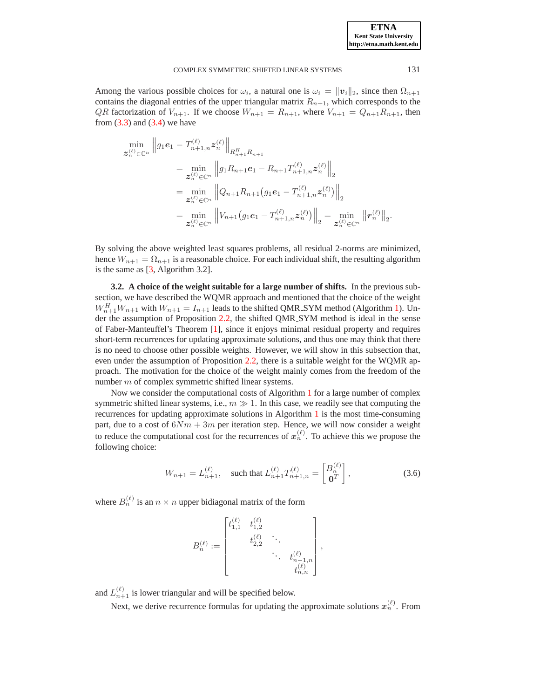Among the various possible choices for  $\omega_i$ , a natural one is  $\omega_i = ||v_i||_2$ , since then  $\Omega_{n+1}$ contains the diagonal entries of the upper triangular matrix  $R_{n+1}$ , which corresponds to the *QR* factorization of  $V_{n+1}$ . If we choose  $W_{n+1} = R_{n+1}$ , where  $V_{n+1} = Q_{n+1}R_{n+1}$ , then from  $(3.3)$  and  $(3.4)$  we have

$$
\min_{\mathbf{z}_{n}^{(\ell)} \in \mathbb{C}^{n}} \|g_{1}\mathbf{e}_{1} - T_{n+1,n}^{(\ell)}\mathbf{z}_{n}^{(\ell)}\|_{R_{n+1}^{H}R_{n+1}} \n= \min_{\mathbf{z}_{n}^{(\ell)} \in \mathbb{C}^{n}} \|g_{1}R_{n+1}\mathbf{e}_{1} - R_{n+1}T_{n+1,n}^{(\ell)}\mathbf{z}_{n}^{(\ell)}\|_{2} \n= \min_{\mathbf{z}_{n}^{(\ell)} \in \mathbb{C}^{n}} \|Q_{n+1}R_{n+1}(g_{1}\mathbf{e}_{1} - T_{n+1,n}^{(\ell)}\mathbf{z}_{n}^{(\ell)})\|_{2} \n= \min_{\mathbf{z}_{n}^{(\ell)} \in \mathbb{C}^{n}} \|V_{n+1}(g_{1}\mathbf{e}_{1} - T_{n+1,n}^{(\ell)}\mathbf{z}_{n}^{(\ell)})\|_{2} = \min_{\mathbf{z}_{n}^{(\ell)} \in \mathbb{C}^{n}} \|r_{n}^{(\ell)}\|_{2}.
$$

By solving the above weighted least squares problems, all residual 2-norms are minimized, hence  $W_{n+1} = \Omega_{n+1}$  is a reasonable choice. For each individual shift, the resulting algorithm is the same as [\[3,](#page-13-0) Algorithm 3.2].

<span id="page-5-0"></span>**3.2. A choice of the weight suitable for a large number of shifts.** In the previous subsection, we have described the WQMR approach and mentioned that the choice of the weight  $W_{n+1}^H W_{n+1}$  with  $W_{n+1} = I_{n+1}$  leads to the shifted QMR\_SYM method (Algorithm [1\)](#page-2-0). Under the assumption of Proposition [2.2,](#page-3-2) the shifted QMR SYM method is ideal in the sense of Faber-Manteuffel's Theorem [\[1\]](#page-13-6), since it enjoys minimal residual property and requires short-term recurrences for updating approximate solutions, and thus one may think that there is no need to choose other possible weights. However, we will show in this subsection that, even under the assumption of Proposition [2.2,](#page-3-2) there is a suitable weight for the WQMR approach. The motivation for the choice of the weight mainly comes from the freedom of the number m of complex symmetric shifted linear systems.

Now we consider the computational costs of Algorithm [1](#page-2-0) for a large number of complex symmetric shifted linear systems, i.e.,  $m \gg 1$ . In this case, we readily see that computing the recurrences for updating approximate solutions in Algorithm [1](#page-2-0) is the most time-consuming part, due to a cost of  $6Nm + 3m$  per iteration step. Hence, we will now consider a weight to reduce the computational cost for the recurrences of  $x_n^{(\ell)}$ . To achieve this we propose the following choice:

$$
W_{n+1} = L_{n+1}^{(\ell)}, \quad \text{such that } L_{n+1}^{(\ell)} T_{n+1,n}^{(\ell)} = \begin{bmatrix} B_n^{(\ell)} \\ \mathbf{0}^T \end{bmatrix},\tag{3.6}
$$

<span id="page-5-1"></span>where  $B_n^{(\ell)}$  is an  $n \times n$  upper bidiagonal matrix of the form

$$
B_n^{(\ell)} := \begin{bmatrix} t_{1,1}^{(\ell)} & t_{1,2}^{(\ell)} & & \\ & t_{2,2}^{(\ell)} & \ddots & \\ & & \ddots & t_{n-1,n}^{(\ell)} \\ & & & t_{n,n}^{(\ell)} \\ & & & & t_{n,n}^{(\ell)} \end{bmatrix},
$$

and  $L_{n+1}^{(\ell)}$  is lower triangular and will be specified below.

Next, we derive recurrence formulas for updating the approximate solutions  $x_n^{(\ell)}$ . From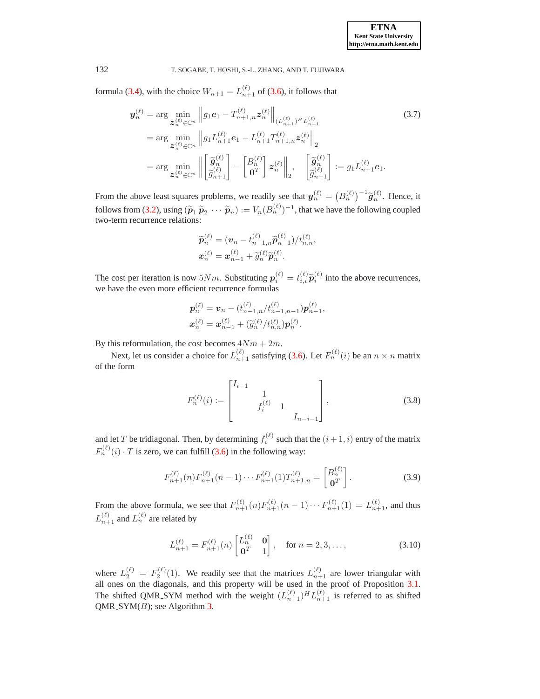<span id="page-6-0"></span>formula [\(3.4\)](#page-4-4), with the choice  $W_{n+1} = L_{n+1}^{(\ell)}$  of [\(3.6\)](#page-5-1), it follows that

$$
\mathbf{y}_{n}^{(\ell)} = \arg \min_{\mathbf{z}_{n}^{(\ell)} \in \mathbb{C}^{n}} \left\| g_{1} \mathbf{e}_{1} - T_{n+1,n}^{(\ell)} \mathbf{z}_{n}^{(\ell)} \right\|_{(L_{n+1}^{(\ell)})^{H} L_{n+1}^{(\ell)}} \tag{3.7}
$$
\n
$$
= \arg \min_{\mathbf{z}_{n}^{(\ell)} \in \mathbb{C}^{n}} \left\| g_{1} L_{n+1}^{(\ell)} \mathbf{e}_{1} - L_{n+1}^{(\ell)} T_{n+1,n}^{(\ell)} \mathbf{z}_{n}^{(\ell)} \right\|_{2}
$$
\n
$$
= \arg \min_{\mathbf{z}_{n}^{(\ell)} \in \mathbb{C}^{n}} \left\| \left[ \widetilde{\mathbf{g}}_{n}^{(\ell)} \right] - \left[ \mathbf{B}_{n}^{(\ell)} \right] \mathbf{z}_{n}^{(\ell)} \right\|_{2}, \quad \left[ \widetilde{\mathbf{g}}_{n}^{(\ell)} \right] := g_{1} L_{n+1}^{(\ell)} \mathbf{e}_{1}.
$$

From the above least squares problems, we readily see that  $y_n^{(\ell)} = (B_n^{(\ell)})^{-1} \widetilde{g}_n^{(\ell)}$ . Hence, it follows from [\(3.2\)](#page-4-0), using  $(\widetilde{p}_1 \widetilde{p}_2 \cdots \widetilde{p}_n) := V_n (B_n^{(\ell)})^{-1}$ , that we have the following coupled two-term recurrence relations:

$$
\widetilde{\boldsymbol{p}}_n^{(\ell)} = (\boldsymbol{v}_n - t_{n-1,n}^{(\ell)} \widetilde{\boldsymbol{p}}_{n-1}^{(\ell)}) / t_{n,n}^{(\ell)},
$$
  

$$
\boldsymbol{x}_n^{(\ell)} = \boldsymbol{x}_{n-1}^{(\ell)} + \widetilde{g}_n^{(\ell)} \widetilde{\boldsymbol{p}}_n^{(\ell)}.
$$

The cost per iteration is now  $5Nm$ . Substituting  $p_i^{(\ell)} = t_{i,i}^{(\ell)} \tilde{p}_i^{(\ell)}$  into the above recurrences, we have the even more efficient recurrence formulas

$$
\mathbf{p}_n^{(\ell)} = \mathbf{v}_n - (t_{n-1,n}^{(\ell)}/t_{n-1,n-1}^{(\ell)})\mathbf{p}_{n-1}^{(\ell)},
$$
  

$$
\mathbf{x}_n^{(\ell)} = \mathbf{x}_{n-1}^{(\ell)} + (\widetilde{g}_n^{(\ell)}/t_{n,n}^{(\ell)})\mathbf{p}_n^{(\ell)}.
$$

By this reformulation, the cost becomes  $4Nm + 2m$ .

Next, let us consider a choice for  $L_{n+1}^{(\ell)}$  satisfying [\(3.6\)](#page-5-1). Let  $F_n^{(\ell)}(i)$  be an  $n \times n$  matrix of the form

$$
F_n^{(\ell)}(i) := \begin{bmatrix} I_{i-1} & & & \\ & 1 & & \\ & f_i^{(\ell)} & 1 & \\ & & I_{n-i-1} \end{bmatrix},
$$
 (3.8)

<span id="page-6-1"></span>and let T be tridiagonal. Then, by determining  $f_i^{(\ell)}$  such that the  $(i + 1, i)$  entry of the matrix  $F_n^{(\ell)}(i) \cdot T$  is zero, we can fulfill [\(3.6\)](#page-5-1) in the following way:

$$
F_{n+1}^{(\ell)}(n)F_{n+1}^{(\ell)}(n-1)\cdots F_{n+1}^{(\ell)}(1)T_{n+1,n}^{(\ell)} = \begin{bmatrix} B_n^{(\ell)} \\ \mathbf{0}^T \end{bmatrix}.
$$
 (3.9)

<span id="page-6-2"></span>From the above formula, we see that  $F_{n+1}^{(\ell)}(n)F_{n+1}^{(\ell)}(n-1)\cdots F_{n+1}^{(\ell)}(1)=L_{n+1}^{(\ell)}$ , and thus  $L_{n+1}^{(\ell)}$  and  $L_n^{(\ell)}$  are related by

$$
L_{n+1}^{(\ell)} = F_{n+1}^{(\ell)}(n) \begin{bmatrix} L_n^{(\ell)} & \mathbf{0} \\ \mathbf{0}^T & 1 \end{bmatrix}, \quad \text{for } n = 2, 3, \dots,
$$
 (3.10)

<span id="page-6-3"></span>where  $L_2^{(\ell)} = F_2^{(\ell)}(1)$ . We readily see that the matrices  $L_{n+1}^{(\ell)}$  are lower triangular with all ones on the diagonals, and this property will be used in the proof of Proposition [3.1.](#page-7-0) The shifted QMR\_SYM method with the weight  $(L_{n+1}^{(\ell)})^H L_{n+1}^{(\ell)}$  is referred to as shifted  $QMR_SYM(B)$ ; see Algorithm [3.](#page-7-1)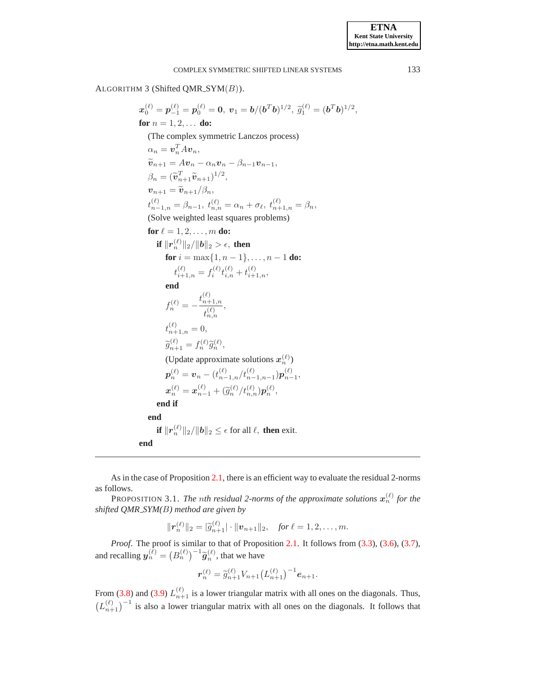<span id="page-7-1"></span>ALGORITHM 3 (Shifted QMR\_SYM $(B)$ ).

$$
x_0^{(\ell)} = p_{-1}^{(\ell)} = p_0^{(\ell)} = 0, v_1 = b/(b^Tb)^{1/2}, \tilde{g}_1^{(\ell)} = (b^Tb)^{1/2},
$$
  
\nfor  $n = 1, 2, ...$  do:  
\n(The complex symmetric Lanczos process)  
\n
$$
\alpha_n = v_n^T A v_n,
$$
  
\n
$$
\tilde{v}_{n+1} = A v_n - \alpha_n v_n - \beta_{n-1} v_{n-1},
$$
  
\n
$$
\beta_n = (\tilde{v}_{n+1}^T \tilde{v}_{n+1})^{1/2},
$$
  
\n
$$
v_{n+1} = \tilde{v}_{n+1}/\beta_n,
$$
  
\n
$$
t_{n-1,n}^{(\ell)} = \beta_{n-1}, t_{n,n}^{(\ell)} = \alpha_n + \sigma_\ell, t_{n+1,n}^{(\ell)} = \beta_n,
$$
  
\n(Solve weighted least squares problems)  
\nfor  $\ell = 1, 2, ..., m$  do:  
\nif  $||r_n^{(\ell)}||_2/||b||_2 > \epsilon$ , then  
\nfor  $i = \max\{1, n - 1\}, ..., n - 1$  do:  
\n
$$
t_{i+1,n}^{(\ell)} = f_i^{(\ell)} t_{i,n}^{(\ell)} + t_{i+1,n}^{(\ell)},
$$
  
\nend  
\n
$$
f_n^{(\ell)} = -\frac{t_{n+1,n}^{(\ell)}}{t_{n,n}^{(\ell)}},
$$
  
\n
$$
t_{n+1,n}^{(\ell)} = 0,
$$
  
\n
$$
\tilde{g}_{n+1}^{(\ell)} = f_n^{(\ell)} \tilde{g}_n^{(\ell)},
$$
  
\n(Uplate approximate solutions  $x_n^{(\ell)}$ )  
\n
$$
p_n^{(\ell)} = v_n - (t_{n-1,n}^{(\ell)}/t_{n-1,n-1}^{(\ell)}) p_{n-1}^{(\ell)},
$$
  
\n
$$
x_n^{(\ell)} = x_n^{(\ell)} + (\tilde{g}_n^{(\ell)}/t_{n,n}^{(\ell)}) p_n^{(\ell)},
$$
  
\nend if  
\nend  
\nif  $||r_n^{(\ell)}||_2/||b||_2 \le \epsilon$  for all  $\ell$ , then exit.  
\nend  
\n<math display="</math>

As in the case of Proposition [2.1,](#page-3-1) there is an efficient way to evaluate the residual 2-norms as follows.

<span id="page-7-0"></span>PROPOSITION 3.1. The nth residual 2-norms of the approximate solutions  $x_n^{(\ell)}$  for the *shifted QMR SYM(*B*) method are given by*

$$
\|\boldsymbol{r}_n^{(\ell)}\|_2 = |\widetilde{g}_{n+1}^{(\ell)}| \cdot \|v_{n+1}\|_2, \quad \text{for } \ell = 1, 2, \ldots, m.
$$

*Proof*. The proof is similar to that of Proposition [2.1.](#page-3-1) It follows from [\(3.3\)](#page-4-3), [\(3.6\)](#page-5-1), [\(3.7\)](#page-6-0), and recalling  $y_n^{(\ell)} = (B_n^{(\ell)})^{-1} \widetilde{g}_n^{(\ell)}$ , that we have

$$
\boldsymbol{r}_n^{(\ell)} = \tilde{g}_{n+1}^{(\ell)} V_{n+1} \big( L_{n+1}^{(\ell)} \big)^{-1} \boldsymbol{e}_{n+1}.
$$

From [\(3.8\)](#page-6-1) and [\(3.9\)](#page-6-2)  $L_{n+1}^{(\ell)}$  is a lower triangular matrix with all ones on the diagonals. Thus,  $(L_{n+1}^{(\ell)})^{-1}$  is also a lower triangular matrix with all ones on the diagonals. It follows that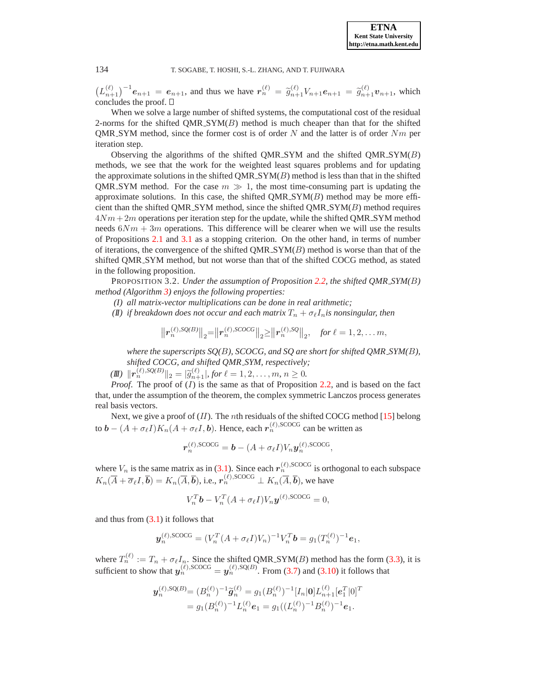$(L_{n+1}^{(\ell)})^{-1}e_{n+1} = e_{n+1}$ , and thus we have  $r_n^{(\ell)} = \tilde{g}_{n+1}^{(\ell)}V_{n+1}e_{n+1} = \tilde{g}_{n+1}^{(\ell)}v_{n+1}$ , which concludes the proof.  $\square$ 

When we solve a large number of shifted systems, the computational cost of the residual 2-norms for the shifted  $OMR_SYM(B)$  method is much cheaper than that for the shifted QMR\_SYM method, since the former cost is of order  $N$  and the latter is of order  $Nm$  per iteration step.

Observing the algorithms of the shifted QMR\_SYM and the shifted  $QMR$ \_SYM $(B)$ methods, we see that the work for the weighted least squares problems and for updating the approximate solutions in the shifted  $QMR$   $\mathcal{S}YM(B)$  method is less than that in the shifted QMR SYM method. For the case  $m \gg 1$ , the most time-consuming part is updating the approximate solutions. In this case, the shifted  $QMR\_SYM(B)$  method may be more efficient than the shifted QMR\_SYM method, since the shifted  $QMR$ \_SYM $(B)$  method requires  $4Nm+2m$  operations per iteration step for the update, while the shifted QMR\_SYM method needs  $6Nm + 3m$  operations. This difference will be clearer when we will use the results of Propositions [2.1](#page-3-1) and [3.1](#page-7-0) as a stopping criterion. On the other hand, in terms of number of iterations, the convergence of the shifted  $QMR$  SYM $(B)$  method is worse than that of the shifted QMR SYM method, but not worse than that of the shifted COCG method, as stated in the following proposition.

<span id="page-8-0"></span>PROPOSITION 3.2. *Under the assumption of Proposition [2.2,](#page-3-2) the shifted QMR SYM(*B*) method (Algorithm [3\)](#page-7-1) enjoys the following properties:*

- *(I) all matrix-vector multiplications can be done in real arithmetic;*
- *(II) if breakdown does not occur and each matrix*  $T_n + \sigma_\ell I_n$ *is nonsingular, then*

$$
\left\|r_n^{(\ell),SQ(B)}\right\|_2 = \left\|r_n^{(\ell),SCOCG}\right\|_2 \ge \left\|r_n^{(\ell),SQ}\right\|_2, \quad \text{for } \ell = 1, 2, \ldots m,
$$

*where the superscripts SQ(*B*), SCOCG, and SQ are short for shifted QMR SYM(*B*), shifted COCG, and shifted QMR SYM, respectively;*

 $\|\mathbf{r}_n^{(\ell),SQ(B)}\|_2 = |\tilde{g}_{n+1}^{(\ell)}, \text{for } \ell = 1, 2, \ldots, m, n \geq 0.$ 

*Proof.* The proof of (I) is the same as that of Proposition [2.2,](#page-3-2) and is based on the fact that, under the assumption of the theorem, the complex symmetric Lanczos process generates real basis vectors.

Next, we give a proof of  $(II)$ . The *n*th residuals of the shifted COCG method [\[15\]](#page-14-0) belong to  $\bm{b} - (A + \sigma_{\ell} I) K_n (A + \sigma_{\ell} I, \bm{b}).$  Hence, each  $r_n^{(\ell),\text{SCOCG}}$  can be written as

$$
\boldsymbol{r}_n^{(\ell),\text{SCOCG}} = \boldsymbol{b} - (A + \sigma_\ell I) V_n \boldsymbol{y}_n^{(\ell),\text{SCOCG}},
$$

where  $V_n$  is the same matrix as in [\(3.1\)](#page-4-1). Since each  $r_n^{(\ell),\text{SCOCG}}$  is orthogonal to each subspace  $K_n(\overline{A}+\overline{\sigma}_\ell I, \overline{b})=K_n(\overline{A}, \overline{b}),$  i.e.,  $r_n^{(\ell),\text{SCOCG}}\perp K_n(\overline{A}, \overline{b}),$  we have

$$
V_n^T \mathbf{b} - V_n^T (A + \sigma_\ell I) V_n \mathbf{y}^{(\ell), \text{SCOCG}} = 0,
$$

and thus from  $(3.1)$  it follows that

$$
\mathbf{y}_n^{(\ell),\text{SCOCG}} = (V_n^T (A + \sigma_\ell I) V_n)^{-1} V_n^T \mathbf{b} = g_1 (T_n^{(\ell)})^{-1} \mathbf{e}_1,
$$

where  $T_n^{(\ell)} := T_n + \sigma_\ell I_n$ . Since the shifted QMR\_SYM(*B*) method has the form [\(3.3\)](#page-4-3), it is sufficient to show that  $y_n^{(\ell),\text{SCOCG}} = y_n^{(\ell),\text{SQ}(B)}$ . From [\(3.7\)](#page-6-0) and [\(3.10\)](#page-6-3) it follows that

$$
\mathbf{y}_{n}^{(\ell),\mathrm{SQ}(B)} = (B_{n}^{(\ell)})^{-1}\widetilde{\mathbf{g}}_{n}^{(\ell)} = g_{1}(B_{n}^{(\ell)})^{-1}[I_{n}|\mathbf{0}]L_{n+1}^{(\ell)}[e_{1}^{T}|\mathbf{0}]^{T}
$$
  
=  $g_{1}(B_{n}^{(\ell)})^{-1}L_{n}^{(\ell)}e_{1} = g_{1}((L_{n}^{(\ell)})^{-1}B_{n}^{(\ell)})^{-1}e_{1}.$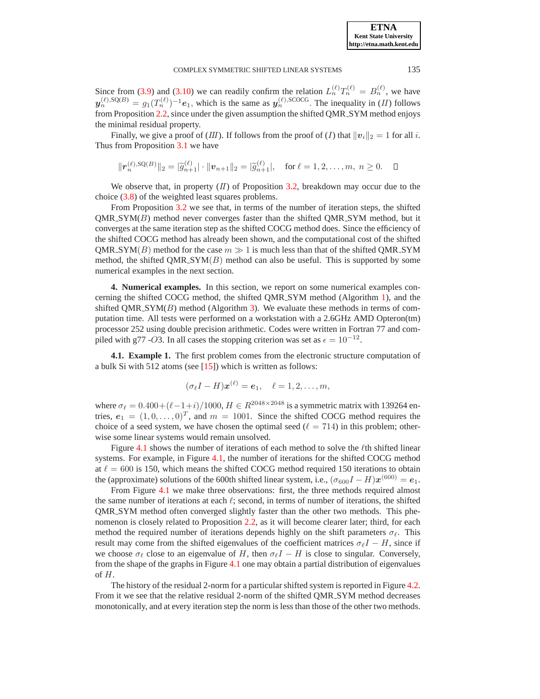#### COMPLEX SYMMETRIC SHIFTED LINEAR SYSTEMS 135

Since from [\(3.9\)](#page-6-2) and [\(3.10\)](#page-6-3) we can readily confirm the relation  $L_n^{(\ell)}T_n^{(\ell)} = B_n^{(\ell)}$ , we have  $y_n^{(\ell),\text{SQ}(B)} = g_1(T_n^{(\ell)})^{-1}e_1$ , which is the same as  $y_n^{(\ell),\text{SCOCG}}$ . The inequality in (II) follows from Proposition [2.2,](#page-3-2) since under the given assumption the shifted QMR SYM method enjoys the minimal residual property.

Finally, we give a proof of  $(III)$ . If follows from the proof of  $(I)$  that  $||v_i||_2 = 1$  for all i. Thus from Proposition [3.1](#page-7-0) we have

$$
\|\boldsymbol{r}_n^{(\ell),\text{SQ}(B)}\|_2 = |\widetilde{g}_{n+1}^{(\ell)}| \cdot \|v_{n+1}\|_2 = |\widetilde{g}_{n+1}^{(\ell)}|, \text{ for } \ell = 1,2,\ldots,m, n \ge 0. \quad \Box
$$

We observe that, in property  $(II)$  of Proposition [3.2,](#page-8-0) breakdown may occur due to the choice [\(3.8\)](#page-6-1) of the weighted least squares problems.

From Proposition [3.2](#page-8-0) we see that, in terms of the number of iteration steps, the shifted  $QMR$  SYM( $B$ ) method never converges faster than the shifted  $QMR$  SYM method, but it converges at the same iteration step as the shifted COCG method does. Since the efficiency of the shifted COCG method has already been shown, and the computational cost of the shifted QMR\_SYM(B) method for the case  $m \gg 1$  is much less than that of the shifted QMR\_SYM method, the shifted QMR\_SYM $(B)$  method can also be useful. This is supported by some numerical examples in the next section.

<span id="page-9-0"></span>**4. Numerical examples.** In this section, we report on some numerical examples concerning the shifted COCG method, the shifted QMR SYM method (Algorithm [1\)](#page-2-0), and the shifted  $QMR\_SYM(B)$  method (Algorithm [3\)](#page-7-1). We evaluate these methods in terms of computation time. All tests were performed on a workstation with a 2.6GHz AMD Opteron(tm) processor 252 using double precision arithmetic. Codes were written in Fortran 77 and compiled with g77 -O3. In all cases the stopping criterion was set as  $\epsilon = 10^{-12}$ .

**4.1. Example 1.** The first problem comes from the electronic structure computation of a bulk Si with 512 atoms (see [\[15\]](#page-14-0)) which is written as follows:

$$
(\sigma_{\ell}I - H)\boldsymbol{x}^{(\ell)} = \boldsymbol{e}_1, \quad \ell = 1, 2, \ldots, m,
$$

where  $\sigma_{\ell} = 0.400 + (\ell - 1 + i)/1000$ ,  $H \in R^{2048 \times 2048}$  is a symmetric matrix with 139264 entries,  $e_1 = (1, 0, \dots, 0)^T$ , and  $m = 1001$ . Since the shifted COCG method requires the choice of a seed system, we have chosen the optimal seed  $(\ell = 714)$  in this problem; otherwise some linear systems would remain unsolved.

Figure [4.1](#page-10-0) shows the number of iterations of each method to solve the  $\ell$ th shifted linear systems. For example, in Figure [4.1,](#page-10-0) the number of iterations for the shifted COCG method at  $\ell = 600$  is 150, which means the shifted COCG method required 150 iterations to obtain the (approximate) solutions of the 600th shifted linear system, i.e.,  $(\sigma_{600}I - H)\boldsymbol{x}^{(600)} = \boldsymbol{e}_1$ .

From Figure [4.1](#page-10-0) we make three observations: first, the three methods required almost the same number of iterations at each  $\ell$ ; second, in terms of number of iterations, the shifted QMR SYM method often converged slightly faster than the other two methods. This phe-nomenon is closely related to Proposition [2.2,](#page-3-2) as it will become clearer later; third, for each method the required number of iterations depends highly on the shift parameters  $\sigma_{\ell}$ . This result may come from the shifted eigenvalues of the coefficient matrices  $\sigma_{\ell}I - H$ , since if we choose  $\sigma_{\ell}$  close to an eigenvalue of H, then  $\sigma_{\ell}I - H$  is close to singular. Conversely, from the shape of the graphs in Figure [4.1](#page-10-0) one may obtain a partial distribution of eigenvalues of H.

The history of the residual 2-norm for a particular shifted system is reported in Figure [4.2.](#page-10-1) From it we see that the relative residual 2-norm of the shifted QMR SYM method decreases monotonically, and at every iteration step the norm is less than those of the other two methods.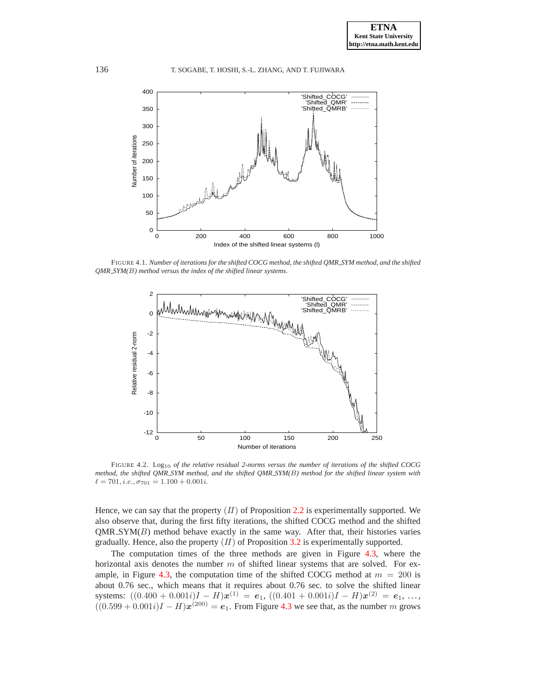

<span id="page-10-0"></span>FIGURE 4.1. *Number of iterations for the shifted COCG method, the shifted QMR SYM method, and the shifted QMR SYM(*B*) method versus the index of the shifted linear systems.*



<span id="page-10-1"></span>FIGURE 4.2. Log10 *of the relative residual 2-norms versus the number of iterations of the shifted COCG method, the shifted QMR SYM method, and the shifted QMR SYM(*B*) method for the shifted linear system with*  $\ell = 701, i.e., \sigma_{701} = 1.100 + 0.001i.$ 

Hence, we can say that the property  $(II)$  of Proposition [2.2](#page-3-2) is experimentally supported. We also observe that, during the first fifty iterations, the shifted COCG method and the shifted  $QMR$   $SYM(B)$  method behave exactly in the same way. After that, their histories varies gradually. Hence, also the property  $(II)$  of Proposition [3.2](#page-8-0) is experimentally supported.

The computation times of the three methods are given in Figure [4.3,](#page-11-0) where the horizontal axis denotes the number  $m$  of shifted linear systems that are solved. For ex-ample, in Figure [4.3,](#page-11-0) the computation time of the shifted COCG method at  $m = 200$  is about 0.76 sec., which means that it requires about 0.76 sec. to solve the shifted linear systems:  $((0.400 + 0.001i)I - H)\boldsymbol{x}^{(1)} = \boldsymbol{e}_1$ ,  $((0.401 + 0.001i)I - H)\boldsymbol{x}^{(2)} = \boldsymbol{e}_1$ , ...,  $((0.599 + 0.001i)I - H)\mathbf{x}^{(200)} = e_1$ . From Figure [4.3](#page-11-0) we see that, as the number m grows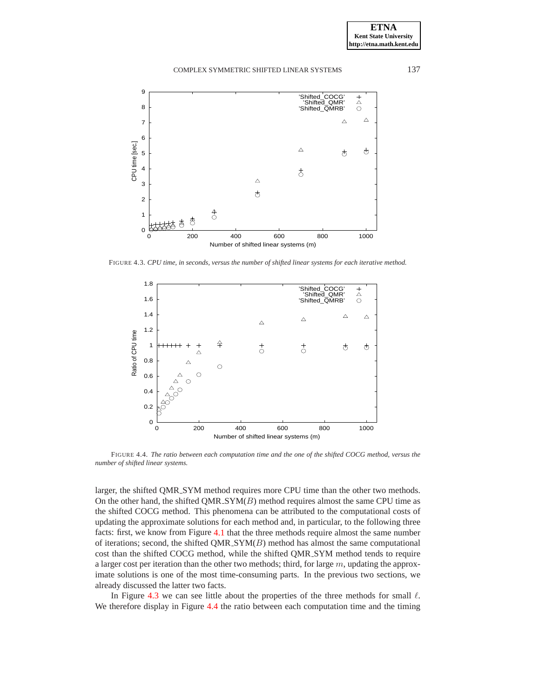



<span id="page-11-0"></span>FIGURE 4.3. *CPU time, in seconds, versus the number of shifted linear systems for each iterative method.*



<span id="page-11-1"></span>FIGURE 4.4. *The ratio between each computation time and the one of the shifted COCG method, versus the number of shifted linear systems.*

larger, the shifted QMR SYM method requires more CPU time than the other two methods. On the other hand, the shifted  $QMR\_SYM(B)$  method requires almost the same CPU time as the shifted COCG method. This phenomena can be attributed to the computational costs of updating the approximate solutions for each method and, in particular, to the following three facts: first, we know from Figure [4.1](#page-10-0) that the three methods require almost the same number of iterations; second, the shifted QMR\_SYM $(B)$  method has almost the same computational cost than the shifted COCG method, while the shifted QMR SYM method tends to require a larger cost per iteration than the other two methods; third, for large  $m$ , updating the approximate solutions is one of the most time-consuming parts. In the previous two sections, we already discussed the latter two facts.

In Figure [4.3](#page-11-0) we can see little about the properties of the three methods for small  $\ell$ . We therefore display in Figure [4.4](#page-11-1) the ratio between each computation time and the timing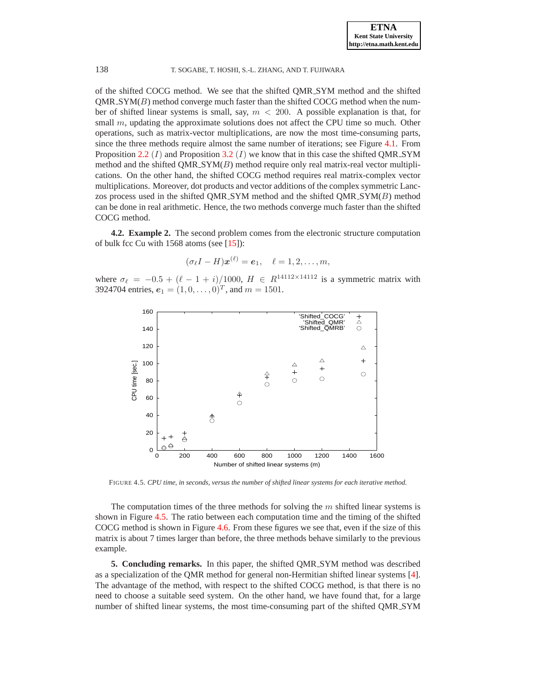of the shifted COCG method. We see that the shifted QMR SYM method and the shifted  $QMR$  SYM( $B$ ) method converge much faster than the shifted COCG method when the number of shifted linear systems is small, say,  $m < 200$ . A possible explanation is that, for small  $m$ , updating the approximate solutions does not affect the CPU time so much. Other operations, such as matrix-vector multiplications, are now the most time-consuming parts, since the three methods require almost the same number of iterations; see Figure [4.1.](#page-10-0) From Proposition [2.2](#page-3-2)  $(I)$  and Proposition [3.2](#page-8-0)  $(I)$  we know that in this case the shifted QMR\_SYM method and the shifted  $QMR\_SYM(B)$  method require only real matrix-real vector multiplications. On the other hand, the shifted COCG method requires real matrix-complex vector multiplications. Moreover, dot products and vector additions of the complex symmetric Lanczos process used in the shifted QMR\_SYM method and the shifted  $QMR$ \_SYM $(B)$  method can be done in real arithmetic. Hence, the two methods converge much faster than the shifted COCG method.

**4.2. Example 2.** The second problem comes from the electronic structure computation of bulk fcc Cu with  $1568$  atoms (see [\[15\]](#page-14-0)):

$$
(\sigma_{\ell}I - H)\boldsymbol{x}^{(\ell)} = \boldsymbol{e}_1, \quad \ell = 1, 2, \ldots, m,
$$

where  $\sigma_{\ell} = -0.5 + (\ell - 1 + i)/1000$ ,  $H \in R^{14112 \times 14112}$  is a symmetric matrix with 3924704 entries,  $e_1 = (1, 0, \dots, 0)^T$ , and  $m = 1501$ .



FIGURE 4.5. *CPU time, in seconds, versus the number of shifted linear systems for each iterative method.*

<span id="page-12-1"></span>The computation times of the three methods for solving the  $m$  shifted linear systems is shown in Figure [4.5.](#page-12-1) The ratio between each computation time and the timing of the shifted COCG method is shown in Figure [4.6.](#page-13-7) From these figures we see that, even if the size of this matrix is about 7 times larger than before, the three methods behave similarly to the previous example.

<span id="page-12-0"></span>**5. Concluding remarks.** In this paper, the shifted QMR<sub>-SYM</sub> method was described as a specialization of the QMR method for general non-Hermitian shifted linear systems [\[4\]](#page-13-3). The advantage of the method, with respect to the shifted COCG method, is that there is no need to choose a suitable seed system. On the other hand, we have found that, for a large number of shifted linear systems, the most time-consuming part of the shifted QMR SYM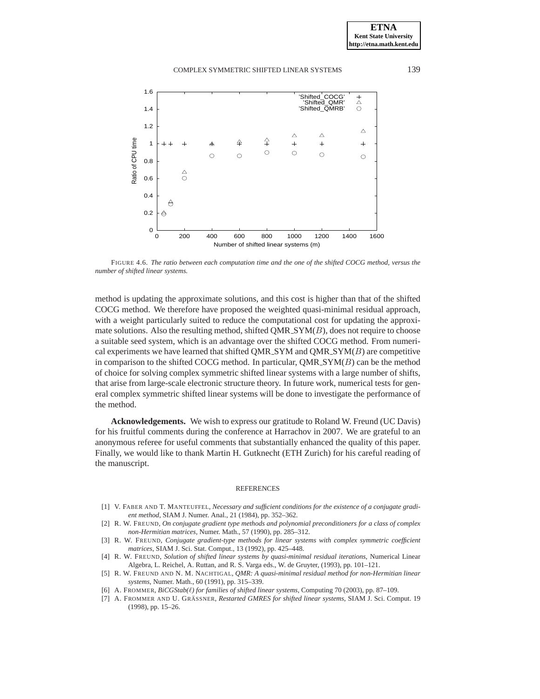

<span id="page-13-7"></span>FIGURE 4.6. *The ratio between each computation time and the one of the shifted COCG method, versus the number of shifted linear systems.*

method is updating the approximate solutions, and this cost is higher than that of the shifted COCG method. We therefore have proposed the weighted quasi-minimal residual approach, with a weight particularly suited to reduce the computational cost for updating the approximate solutions. Also the resulting method, shifted  $QMR$   $\mathcal{S}YM(B)$ , does not require to choose a suitable seed system, which is an advantage over the shifted COCG method. From numerical experiments we have learned that shifted QMR\_SYM and  $QMR$  SYM $(B)$  are competitive in comparison to the shifted COCG method. In particular,  $QMR\_SYM(B)$  can be the method of choice for solving complex symmetric shifted linear systems with a large number of shifts, that arise from large-scale electronic structure theory. In future work, numerical tests for general complex symmetric shifted linear systems will be done to investigate the performance of the method.

**Acknowledgements.** We wish to express our gratitude to Roland W. Freund (UC Davis) for his fruitful comments during the conference at Harrachov in 2007. We are grateful to an anonymous referee for useful comments that substantially enhanced the quality of this paper. Finally, we would like to thank Martin H. Gutknecht (ETH Zurich) for his careful reading of the manuscript.

#### REFERENCES

- <span id="page-13-6"></span>[1] V. FABER AND T. MANTEUFFEL, *Necessary and sufficient conditions for the existence of a conjugate gradient method*, SIAM J. Numer. Anal., 21 (1984), pp. 352–362.
- <span id="page-13-5"></span>[2] R. W. FREUND, *On conjugate gradient type methods and polynomial preconditioners for a class of complex non-Hermitian matrices*, Numer. Math., 57 (1990), pp. 285–312.
- <span id="page-13-0"></span>[3] R. W. FREUND, *Conjugate gradient-type methods for linear systems with complex symmetric coefficient matrices*, SIAM J. Sci. Stat. Comput., 13 (1992), pp. 425–448.
- <span id="page-13-3"></span>[4] R. W. FREUND, *Solution of shifted linear systems by quasi-minimal residual iterations*, Numerical Linear Algebra, L. Reichel, A. Ruttan, and R. S. Varga eds., W. de Gruyter, (1993), pp. 101–121.
- <span id="page-13-4"></span>[5] R. W. FREUND AND N. M. NACHTIGAL, *QMR: A quasi-minimal residual method for non-Hermitian linear systems*, Numer. Math., 60 (1991), pp. 315–339.
- <span id="page-13-2"></span><span id="page-13-1"></span>[6] A. FROMMER, *BiCGStab(*ℓ*) for families of shifted linear systems*, Computing 70 (2003), pp. 87–109.
- [7] A. FROMMER AND U. GRÄSSNER, *Restarted GMRES for shifted linear systems*, SIAM J. Sci. Comput. 19 (1998), pp. 15–26.

**ETNA Kent State University http://etna.math.kent.edu**